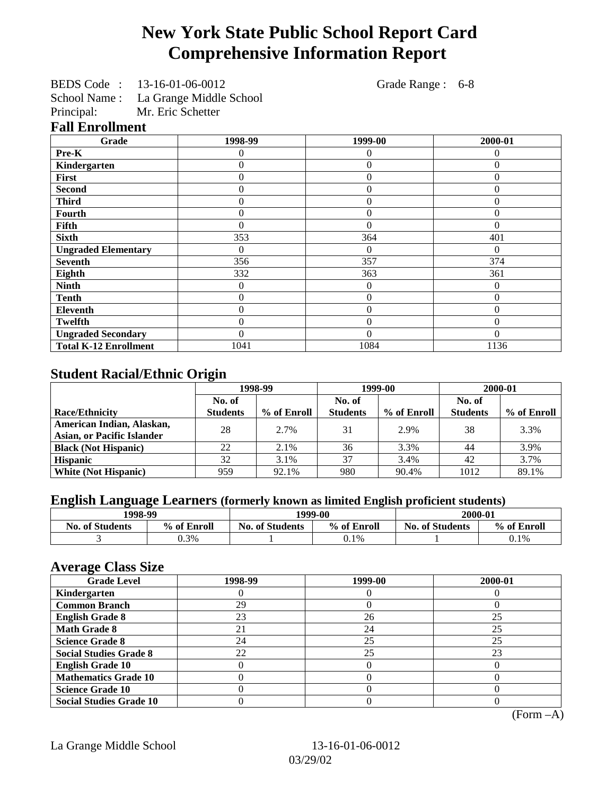# **New York State Public School Report Card Comprehensive Information Report**

|  | BEDS Code: 13-16-01-06-0012 | Grade Range : 6-8 |  |
|--|-----------------------------|-------------------|--|
|  |                             |                   |  |

School Name : La Grange Middle School

Principal: Mr. Eric Schetter

#### **Fall Enrollment**

| Grade                        | 1998-99          | 1999-00        | 2000-01  |
|------------------------------|------------------|----------------|----------|
| Pre-K                        | 0                | 0              | $\theta$ |
| Kindergarten                 | $\boldsymbol{0}$ | $\overline{0}$ | $\Omega$ |
| First                        | $\overline{0}$   | $\overline{0}$ | $\Omega$ |
| <b>Second</b>                | $\theta$         | $\overline{0}$ | $\Omega$ |
| <b>Third</b>                 | $\Omega$         | $\overline{0}$ | $\Omega$ |
| Fourth                       | $\Omega$         | $\overline{0}$ | $\Omega$ |
| Fifth                        | 0                | $\theta$       | 0        |
| <b>Sixth</b>                 | 353              | 364            | 401      |
| <b>Ungraded Elementary</b>   | 0                | $\Omega$       | $\Omega$ |
| <b>Seventh</b>               | 356              | 357            | 374      |
| Eighth                       | 332              | 363            | 361      |
| <b>Ninth</b>                 | $\mathbf{0}$     | $\theta$       | $\Omega$ |
| <b>Tenth</b>                 | $\mathbf{0}$     | $\overline{0}$ | $\Omega$ |
| Eleventh                     | $\theta$         | $\overline{0}$ | $\Omega$ |
| <b>Twelfth</b>               | $\boldsymbol{0}$ | $\overline{0}$ | $\Omega$ |
| <b>Ungraded Secondary</b>    | $\Omega$         | $\theta$       | $\Omega$ |
| <b>Total K-12 Enrollment</b> | 1041             | 1084           | 1136     |

### **Student Racial/Ethnic Origin**

|                                   | 1998-99         |             | 1999-00         |             | 2000-01         |             |
|-----------------------------------|-----------------|-------------|-----------------|-------------|-----------------|-------------|
|                                   | No. of          |             | No. of          |             | No. of          |             |
| <b>Race/Ethnicity</b>             | <b>Students</b> | % of Enroll | <b>Students</b> | % of Enroll | <b>Students</b> | % of Enroll |
| American Indian, Alaskan,         | 28              | 2.7%        | 31              | 2.9%        | 38              | 3.3%        |
| <b>Asian, or Pacific Islander</b> |                 |             |                 |             |                 |             |
| <b>Black (Not Hispanic)</b>       | 22              | 2.1%        | 36              | 3.3%        | 44              | 3.9%        |
| <b>Hispanic</b>                   | 32              | 3.1%        | 37              | 3.4%        | 42              | 3.7%        |
| <b>White (Not Hispanic)</b>       | 959             | 92.1%       | 980             | 90.4%       | 1012            | 89.1%       |

## **English Language Learners (formerly known as limited English proficient students)**

| 1998-99                |             |                                       | 1999-00 | 2000-01                |             |  |
|------------------------|-------------|---------------------------------------|---------|------------------------|-------------|--|
| <b>No. of Students</b> | % of Enroll | % of Enroll<br><b>No. of Students</b> |         | <b>No. of Students</b> | % of Enroll |  |
|                        | 0.3%        |                                       | 0.1%    |                        | $0.1\%$     |  |

#### **Average Class Size**

| o<br><b>Grade Level</b>        | 1998-99 | 1999-00 | 2000-01 |
|--------------------------------|---------|---------|---------|
| Kindergarten                   |         |         |         |
| <b>Common Branch</b>           | 29      |         |         |
| <b>English Grade 8</b>         | 23      | 26      | 25      |
| <b>Math Grade 8</b>            | 21      | 24      | 25      |
| <b>Science Grade 8</b>         | 24      | 25      | 25      |
| <b>Social Studies Grade 8</b>  | 22      | 25      | 23      |
| <b>English Grade 10</b>        |         |         |         |
| <b>Mathematics Grade 10</b>    |         |         |         |
| <b>Science Grade 10</b>        |         |         |         |
| <b>Social Studies Grade 10</b> |         |         |         |

(Form –A)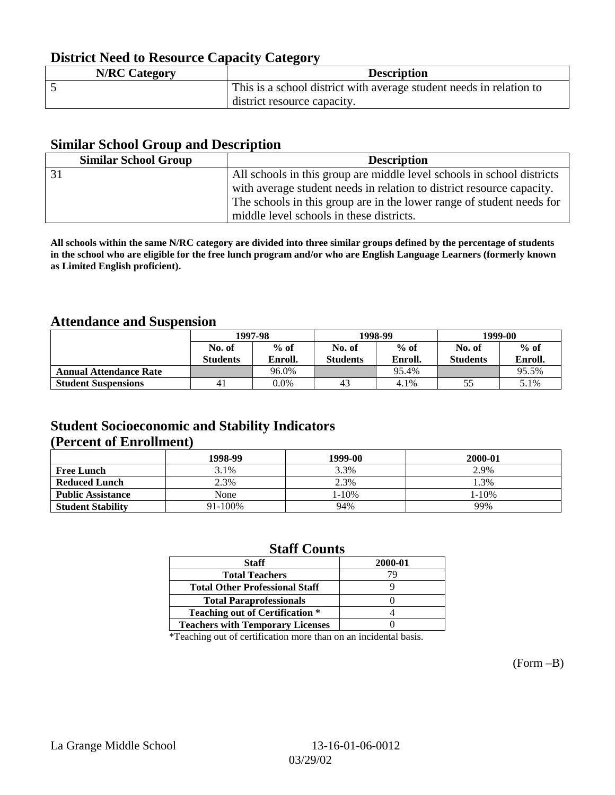### **District Need to Resource Capacity Category**

| <b>N/RC Category</b> | <b>Description</b>                                                  |
|----------------------|---------------------------------------------------------------------|
|                      | This is a school district with average student needs in relation to |
|                      | district resource capacity.                                         |

#### **Similar School Group and Description**

| <b>Similar School Group</b> | <b>Description</b>                                                     |
|-----------------------------|------------------------------------------------------------------------|
|                             | All schools in this group are middle level schools in school districts |
|                             | with average student needs in relation to district resource capacity.  |
|                             | The schools in this group are in the lower range of student needs for  |
|                             | middle level schools in these districts.                               |

**All schools within the same N/RC category are divided into three similar groups defined by the percentage of students in the school who are eligible for the free lunch program and/or who are English Language Learners (formerly known as Limited English proficient).**

#### **Attendance and Suspension**

|                               | 1997-98         |         |                 | 1998-99 | 1999-00         |         |
|-------------------------------|-----------------|---------|-----------------|---------|-----------------|---------|
|                               | No. of          | $%$ of  | No. of          | $%$ of  | No. of          | $%$ of  |
|                               | <b>Students</b> | Enroll. | <b>Students</b> | Enroll. | <b>Students</b> | Enroll. |
| <b>Annual Attendance Rate</b> |                 | 96.0%   |                 | 95.4%   |                 | 95.5%   |
| <b>Student Suspensions</b>    | 41              | $0.0\%$ | 43              | 4.1%    |                 | 5.1%    |

### **Student Socioeconomic and Stability Indicators (Percent of Enrollment)**

|                          | 1998-99 | 1999-00    | 2000-01 |
|--------------------------|---------|------------|---------|
| <b>Free Lunch</b>        | 3.1%    | 3.3%       | 2.9%    |
| <b>Reduced Lunch</b>     | 2.3%    | 2.3%       | .3%     |
| <b>Public Assistance</b> | None    | $1 - 10\%$ | 1-10%   |
| <b>Student Stability</b> | 91-100% | 94%        | 99%     |

#### **Staff Counts**

| <b>Staff</b>                            | 2000-01 |
|-----------------------------------------|---------|
| <b>Total Teachers</b>                   | 79      |
| <b>Total Other Professional Staff</b>   |         |
| <b>Total Paraprofessionals</b>          |         |
| <b>Teaching out of Certification *</b>  |         |
| <b>Teachers with Temporary Licenses</b> |         |

\*Teaching out of certification more than on an incidental basis.

(Form –B)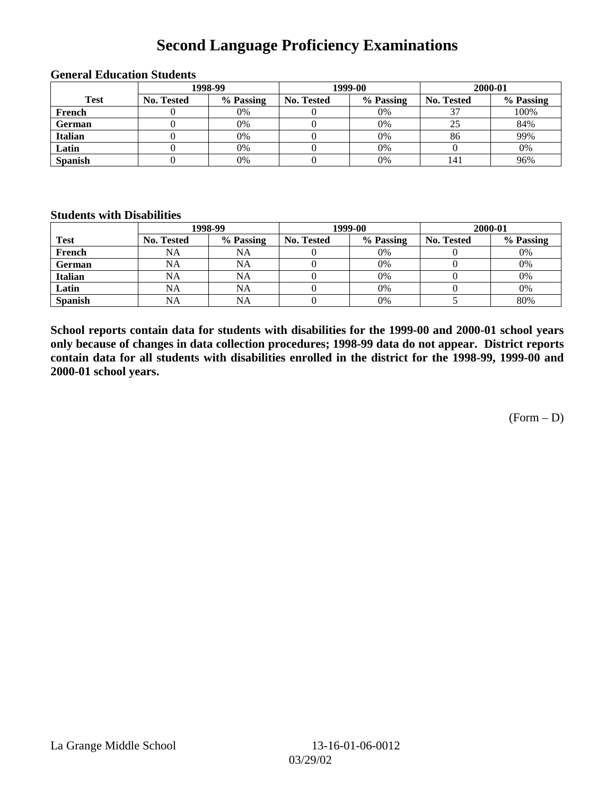## **Second Language Proficiency Examinations**

|                | 1998-99    |           |                   | 1999-00   | 2000-01    |           |
|----------------|------------|-----------|-------------------|-----------|------------|-----------|
| <b>Test</b>    | No. Tested | % Passing | <b>No. Tested</b> | % Passing | No. Tested | % Passing |
| French         |            | 0%        |                   | 0%        |            | 100%      |
| <b>German</b>  |            | 0%        |                   | 0%        | 25         | 84%       |
| <b>Italian</b> |            | 0%        |                   | 0%        | 86         | 99%       |
| Latin          |            | 0%        |                   | 0%        |            | 0%        |
| <b>Spanish</b> |            | 0%        |                   | 0%        | 141        | 96%       |

#### **General Education Students**

#### **Students with Disabilities**

|                | 1998-99           |           |                   | 1999-00   | 2000-01           |           |
|----------------|-------------------|-----------|-------------------|-----------|-------------------|-----------|
| <b>Test</b>    | <b>No. Tested</b> | % Passing | <b>No. Tested</b> | % Passing | <b>No. Tested</b> | % Passing |
| French         | NA                | <b>NA</b> |                   | 0%        |                   | 0%        |
| <b>German</b>  | NA                | NA        |                   | 0%        |                   | 0%        |
| <b>Italian</b> | NA                | NA        |                   | 0%        |                   | 0%        |
| Latin          | <b>NA</b>         | NA        |                   | $0\%$     |                   | 0%        |
| <b>Spanish</b> | NA                | <b>NA</b> |                   | 0%        |                   | 80%       |

**School reports contain data for students with disabilities for the 1999-00 and 2000-01 school years only because of changes in data collection procedures; 1998-99 data do not appear. District reports contain data for all students with disabilities enrolled in the district for the 1998-99, 1999-00 and 2000-01 school years.**

 $(Form - D)$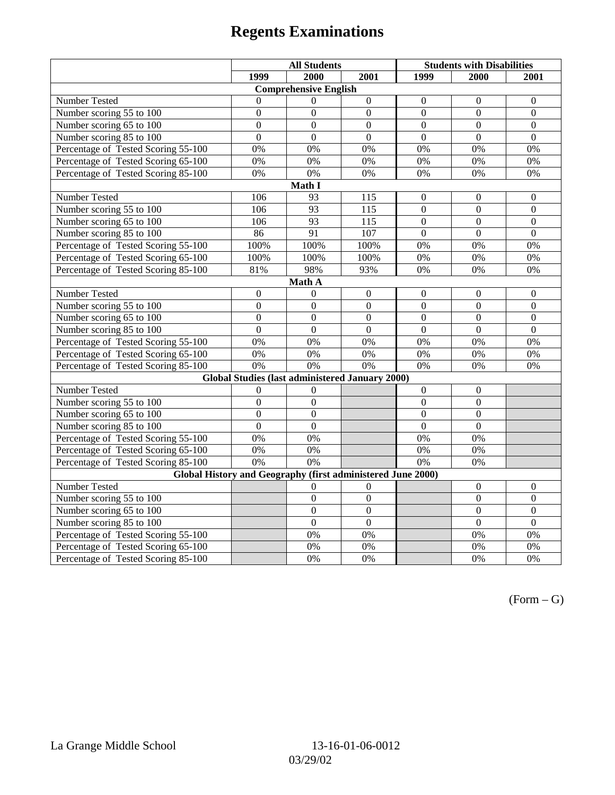# **Regents Examinations**

|                                                             | <b>All Students</b> |                  |                  | <b>Students with Disabilities</b> |                  |                  |  |  |
|-------------------------------------------------------------|---------------------|------------------|------------------|-----------------------------------|------------------|------------------|--|--|
|                                                             | 1999                | 2000             | 2001             | 1999                              | 2000             | 2001             |  |  |
| <b>Comprehensive English</b>                                |                     |                  |                  |                                   |                  |                  |  |  |
| Number Tested                                               | $\theta$            | $\Omega$         | $\boldsymbol{0}$ | $\Omega$                          | $\Omega$         | $\mathbf{0}$     |  |  |
| Number scoring $55 \overline{\text{to } 100}$               | $\mathbf{0}$        | $\mathbf{0}$     | $\Omega$         | $\Omega$                          | $\Omega$         | $\Omega$         |  |  |
| Number scoring 65 to 100                                    | $\overline{0}$      | $\overline{0}$   | $\overline{0}$   | $\overline{0}$                    | $\overline{0}$   | $\boldsymbol{0}$ |  |  |
| Number scoring 85 to 100                                    | $\overline{0}$      | $\overline{0}$   | $\overline{0}$   | $\overline{0}$                    | $\overline{0}$   | $\overline{0}$   |  |  |
| Percentage of Tested Scoring 55-100                         | 0%                  | 0%               | 0%               | 0%                                | 0%               | 0%               |  |  |
| Percentage of Tested Scoring 65-100                         | 0%                  | 0%               | 0%               | 0%                                | 0%               | 0%               |  |  |
| Percentage of Tested Scoring 85-100                         | 0%                  | 0%               | 0%               | 0%                                | 0%               | 0%               |  |  |
|                                                             |                     | Math I           |                  |                                   |                  |                  |  |  |
| Number Tested                                               | 106                 | 93               | 115              | $\overline{0}$                    | $\mathbf{0}$     | $\mathbf{0}$     |  |  |
| Number scoring 55 to 100                                    | 106                 | 93               | 115              | $\overline{0}$                    | $\overline{0}$   | $\boldsymbol{0}$ |  |  |
| Number scoring 65 to 100                                    | 106                 | 93               | 115              | $\mathbf{0}$                      | $\mathbf{0}$     | $\mathbf{0}$     |  |  |
| Number scoring 85 to 100                                    | 86                  | 91               | 107              | $\overline{0}$                    | $\overline{0}$   | $\overline{0}$   |  |  |
| Percentage of Tested Scoring 55-100                         | 100%                | 100%             | 100%             | 0%                                | 0%               | 0%               |  |  |
| Percentage of Tested Scoring 65-100                         | 100%                | 100%             | 100%             | 0%                                | 0%               | 0%               |  |  |
| Percentage of Tested Scoring 85-100                         | 81%                 | 98%              | 93%              | 0%                                | 0%               | 0%               |  |  |
|                                                             |                     | Math A           |                  |                                   |                  |                  |  |  |
| Number Tested                                               | $\boldsymbol{0}$    | $\theta$         | $\boldsymbol{0}$ | $\boldsymbol{0}$                  | $\boldsymbol{0}$ | $\boldsymbol{0}$ |  |  |
| Number scoring $5\overline{5}$ to $100$                     | $\mathbf{0}$        | $\mathbf{0}$     | $\overline{0}$   | $\overline{0}$                    | $\mathbf{0}$     | $\mathbf{0}$     |  |  |
| Number scoring 65 to 100                                    | $\mathbf{0}$        | $\mathbf{0}$     | $\overline{0}$   | $\overline{0}$                    | $\mathbf{0}$     | $\mathbf{0}$     |  |  |
| Number scoring 85 to 100                                    | $\overline{0}$      | $\overline{0}$   | $\overline{0}$   | $\overline{0}$                    | $\overline{0}$   | $\mathbf{0}$     |  |  |
| Percentage of Tested Scoring 55-100                         | 0%                  | 0%               | 0%               | 0%                                | 0%               | 0%               |  |  |
| Percentage of Tested Scoring 65-100                         | 0%                  | 0%               | 0%               | 0%                                | 0%               | 0%               |  |  |
| Percentage of Tested Scoring 85-100                         | 0%                  | 0%               | 0%               | $0\%$                             | 0%               | 0%               |  |  |
| <b>Global Studies (last administered January 2000)</b>      |                     |                  |                  |                                   |                  |                  |  |  |
| Number Tested                                               | $\boldsymbol{0}$    | 0                |                  | $\mathbf{0}$                      | $\boldsymbol{0}$ |                  |  |  |
| Number scoring 55 to 100                                    | $\mathbf{0}$        | $\mathbf{0}$     |                  | $\overline{0}$                    | $\overline{0}$   |                  |  |  |
| Number scoring 65 to 100                                    | $\overline{0}$      | $\overline{0}$   |                  | $\overline{0}$                    | $\overline{0}$   |                  |  |  |
| Number scoring 85 to 100                                    | $\overline{0}$      | $\overline{0}$   |                  | $\overline{0}$                    | $\overline{0}$   |                  |  |  |
| Percentage of Tested Scoring 55-100                         | 0%                  | 0%               |                  | 0%                                | 0%               |                  |  |  |
| Percentage of Tested Scoring 65-100                         | 0%                  | 0%               |                  | 0%                                | 0%               |                  |  |  |
| Percentage of Tested Scoring 85-100                         | 0%                  | 0%               |                  | 0%                                | 0%               |                  |  |  |
| Global History and Geography (first administered June 2000) |                     |                  |                  |                                   |                  |                  |  |  |
| Number Tested                                               |                     | $\boldsymbol{0}$ | $\overline{0}$   |                                   | $\theta$         | $\mathbf{0}$     |  |  |
| Number scoring 55 to 100                                    |                     | $\mathbf{0}$     | $\overline{0}$   |                                   | $\mathbf{0}$     | $\boldsymbol{0}$ |  |  |
| Number scoring 65 to 100                                    |                     | $\overline{0}$   | $\overline{0}$   |                                   | $\overline{0}$   | $\boldsymbol{0}$ |  |  |
| Number scoring 85 to 100                                    |                     | $\overline{0}$   | $\overline{0}$   |                                   | $\overline{0}$   | $\mathbf{0}$     |  |  |
| Percentage of Tested Scoring 55-100                         |                     | 0%               | 0%               |                                   | 0%               | 0%               |  |  |
| Percentage of Tested Scoring 65-100                         |                     | 0%               | 0%               |                                   | $0\%$            | $0\%$            |  |  |
| Percentage of Tested Scoring 85-100                         |                     | 0%               | 0%               |                                   | 0%               | 0%               |  |  |

 $(Form - G)$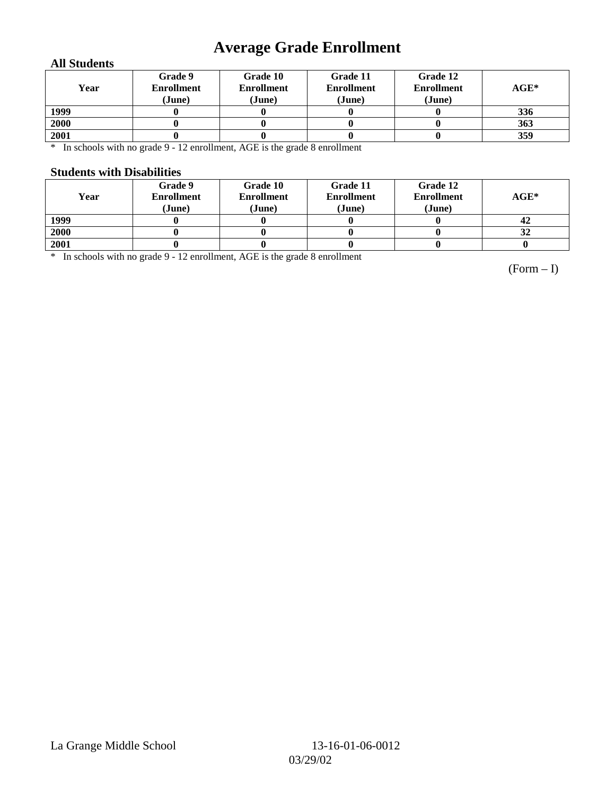# **Average Grade Enrollment**

#### **All Students**

| Year | Grade 9<br><b>Enrollment</b><br>(June) | Grade 10<br><b>Enrollment</b><br>(June) | Grade 11<br><b>Enrollment</b><br>(June) | Grade 12<br><b>Enrollment</b><br>(June) | $AGE^*$ |
|------|----------------------------------------|-----------------------------------------|-----------------------------------------|-----------------------------------------|---------|
| 1999 |                                        |                                         |                                         |                                         | 336     |
| 2000 |                                        |                                         |                                         |                                         | 363     |
| 2001 |                                        |                                         |                                         |                                         | 359     |

\* In schools with no grade 9 - 12 enrollment, AGE is the grade 8 enrollment

#### **Students with Disabilities**

| Year | Grade 9<br><b>Enrollment</b><br>(June) | Grade 10<br><b>Enrollment</b><br>(June) | Grade 11<br><b>Enrollment</b><br>(June) | Grade 12<br><b>Enrollment</b><br>(June) | $AGE^*$ |
|------|----------------------------------------|-----------------------------------------|-----------------------------------------|-----------------------------------------|---------|
| 1999 |                                        |                                         |                                         |                                         | 42      |
| 2000 |                                        |                                         |                                         |                                         | 32      |
| 2001 |                                        |                                         |                                         |                                         |         |

\* In schools with no grade 9 - 12 enrollment, AGE is the grade 8 enrollment

(Form – I)